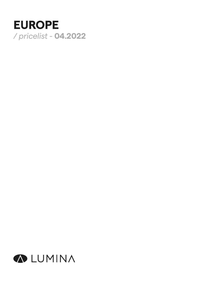# **EUROPE** */ pricelist -* **04.2022**

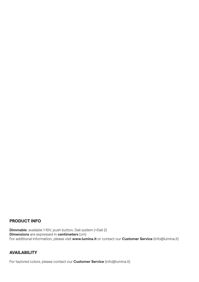#### **PRODUCT INFO**

**Dimmable**: available 1-10V, push button, Dali system (+Dali 2) **Dimensions** are expressed in **centimeters** (cm) For additional information, please visit **www.lumina.it** or contact our **Customer Service** (info@lumina.it)

#### **AVAILABILITY**

For taylored colors, please contact our **Customer Service** (info@lumina.it).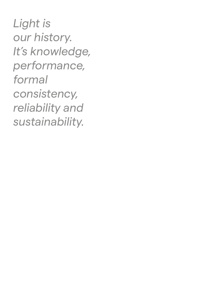*Light is our history. It's knowledge, performance, formal consistency, reliability and sustainability.*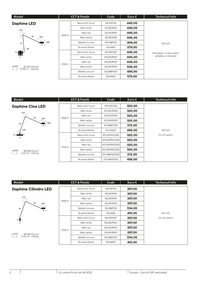| Model                                                   |        | <b>CCT &amp; Finish</b> | Code       | Euro $\epsilon$ | <b>Technical Info</b>    |
|---------------------------------------------------------|--------|-------------------------|------------|-----------------|--------------------------|
| <b>Daphine LED</b>                                      |        | <b>Black Soft-Touch</b> | 01L01ST00  | 445,00          |                          |
| $270^\circ$                                             |        | Matt white              | 01L02OP00  | 445,00          |                          |
|                                                         |        | Matt red                | 01L03OP00  | 445,00          |                          |
| 40<br>200°                                              | 3000 K | Matt yellow             | 01L05OP00  | 445,00          | 9W LED                   |
| $360^\circ$<br>35<br>8<br>$80^\circ$<br>10 <sup>1</sup> |        | Metallic bronze         | 01L29MT00  | 499,00          |                          |
|                                                         |        | <b>Brushed Nickel</b>   | 01L4400    | 579,00          |                          |
|                                                         |        | <b>Black Soft-Touch</b> | 01L01STK27 | 445,00          | Dimmable + 2 step switch |
| 11                                                      |        | Matt white              | 01L02OPK27 | 445,00          | settable on the lamp     |
| 22×53×14 (cm)<br>0,016 m <sup>3</sup> - 3,42 Kg         |        | Matt red                | 01L03OPK27 | 445,00          |                          |
|                                                         | 2700 K | Matt yellow             | 01L05OPK27 | 445,00          |                          |
|                                                         |        | Metallic bronze         | 01L29MTK27 | 499,00          |                          |
|                                                         |        | <b>Brushed Nickel</b>   | 01L44K27   | 579,00          |                          |

| Model                                                 |        | <b>CCT &amp; Finish</b> | Code          | Euro $\epsilon$ | <b>Technical Info</b> |
|-------------------------------------------------------|--------|-------------------------|---------------|-----------------|-----------------------|
| <b>Daphine Cloe LED</b>                               |        | <b>Black Soft-Touch</b> | 07L01ST220    | 320,00          |                       |
| $270^\circ$                                           |        | Matt white              | 07L02OP220    | 320,00          |                       |
| 40                                                    |        | Matt red                | 07L03OP220    | 320,00          |                       |
| 200°<br>$360^\circ$<br>40<br>8<br>$180^\circ$<br>17   | 3000 K | Matt yellow             | 07L05OP220    | 320,00          |                       |
|                                                       |        | Metallic bronze         | 07L29MT220    | 372,00          |                       |
|                                                       |        | <b>Brushed Nickel</b>   | 07L44220      | 458,00          | 9W LED                |
|                                                       | 2700K  | <b>Black Soft-Touch</b> | 07L01STK27220 | 320,00          | On-off switch         |
|                                                       |        | Matt white              | 07L02OPK27220 | 320,00          |                       |
| 58×28×13 (cm)<br>$0.02 \text{ m}^3 - 3.10 \text{ Kg}$ |        | Matt red                | 07L03OPK27220 | 320,00          |                       |
|                                                       |        | Matt yellow             | 07L05OPK27220 | 320,00          |                       |
|                                                       |        | Metallic bronze         | 07L29MTK27220 | 372,00          |                       |
|                                                       |        | <b>Brushed Nickel</b>   | 07L44K27220   | 458,00          |                       |

| Model                                         |        | <b>CCT &amp; Finish</b> | Code       | Euro $\epsilon$ | <b>Technical Info</b> |
|-----------------------------------------------|--------|-------------------------|------------|-----------------|-----------------------|
| <b>Daphine Cilindro LED</b>                   |        | <b>Black Soft-Touch</b> | 10L01ST00  | 297,00          |                       |
|                                               |        | Matt white              | 10L02OP00  | 297,00          |                       |
| $270^\circ$                                   |        | Matt red                | 10L03OP00  | 297,00          | 9W LED                |
| 40<br>$200^\circ$                             | 3000 K | Matt yellow             | 10L05OP00  | 297,00          |                       |
| 40<br>8 ∿<br>9 j<br>3                         |        | Metallic bronze         | 10L29MT00  | 334,00          |                       |
|                                               |        | <b>Brushed Nickel</b>   | 10L4400    | 410,00          |                       |
|                                               |        | <b>Black Soft-Touch</b> | 10L01STK27 | 297,00          | On-off switch         |
|                                               |        | Matt white              | 10L02OPK27 | 297,00          |                       |
| 58×28×13 (cm)<br>$0.02 \text{ m}^3$ - 1,36 Kg | 2700 K | Matt red                | 10L03OPK27 | 297,00          |                       |
|                                               |        | Matt yellow             | 10L05OPK27 | 297,00          |                       |
|                                               |        | Metallic bronze         | 10L29MTK27 | 334,00          |                       |
|                                               |        | <b>Brushed Nickel</b>   | 10L44K27   | 410,00          |                       |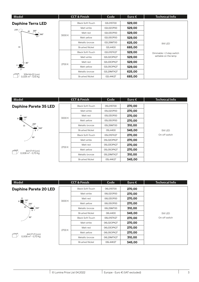| Model                                            |        | <b>CCT &amp; Finish</b> | Code       | Euro $\epsilon$ | <b>Technical Info</b>    |
|--------------------------------------------------|--------|-------------------------|------------|-----------------|--------------------------|
| <b>Daphine Terra LED</b>                         |        | Black Soft-Touch        | 02L01ST00  | 529,00          |                          |
| $270^\circ$                                      |        | Matt white              | 02L02OP00  | 529,00          |                          |
| $45 \t 200^\circ$<br>$\blacksquare$ 360°         | 3000 K | Matt red                | 02L03OP00  | 529,00          |                          |
|                                                  |        | Matt yellow             | 02L05OP00  | 529,00          |                          |
|                                                  |        | Metallic bronze         | 02L29MT00  | 625,00          | 9W LED                   |
| 91                                               |        | <b>Brushed Nickel</b>   | 02L4400    | 685,00          |                          |
|                                                  |        | <b>Black Soft-Touch</b> | 02L01STK27 | 529,00          | Dimmable + 2 step switch |
|                                                  |        | Matt white              | 02L02OPK27 | 529,00          | settable on the lamp     |
| $\lambda$ 80°                                    | 2700 K | Matt red                | 02L03OPK27 | 529,00          |                          |
| 21                                               |        | Matt yellow             | 02L05OPK27 | 529,00          |                          |
|                                                  |        | Metallic bronze         | 02L29MTK27 | 625,00          |                          |
| 109×14×22 (cm)<br>0,034 m <sup>3</sup> - 5,15 Kg |        | <b>Brushed Nickel</b>   | 02L44K27   | 685,00          |                          |

| Model                                                   |        | <b>CCT &amp; Finish</b> | Code       | Euro $\epsilon$ | <b>Technical Info</b> |
|---------------------------------------------------------|--------|-------------------------|------------|-----------------|-----------------------|
| <b>Daphine Parete 35 LED</b>                            |        | <b>Black Soft-Touch</b> | 05L01ST00  | 270,00          |                       |
|                                                         |        | Matt white              | 05L02OP00  | 270,00          |                       |
| 8                                                       |        | Matt red                | 05L03OP00  | 270,00          |                       |
| $8 \bullet 180^\circ$                                   | 3000 K | Matt yellow             | 05L05OP00  | 270,00          | 5W LED                |
| $200^\circ$<br>35<br>360°<br>$8 \sqrt{ }$<br>$90^\circ$ |        | Metallic bronze         | 05L29MT00  | 310,00          |                       |
|                                                         |        | <b>Brushed Nickel</b>   | 05L4400    | 345,00          |                       |
|                                                         |        | <b>Black Soft-Touch</b> | 05L01STK27 | 270,00          | On-off switch         |
|                                                         |        | Matt white              | 05L02OPK27 | 270,00          |                       |
| 44×17×11 (cm)<br>$0,008 \text{ m}^3 - 0,70 \text{ Kg}$  |        | Matt red                | 05L03OPK27 | 270,00          |                       |
|                                                         | 2700K  | Matt yellow             | 05L05OPK27 | 270,00          |                       |
|                                                         |        | Metallic bronze         | 05L29MTK27 | 310,00          |                       |
|                                                         |        | <b>Brushed Nickel</b>   | 05L44K27   | 345,00          |                       |

| Model                                           |        | <b>CCT &amp; Finish</b> | Code       | Euro $\epsilon$ | <b>Technical Info</b>   |
|-------------------------------------------------|--------|-------------------------|------------|-----------------|-------------------------|
| <b>Daphine Parete 20 LED</b>                    |        | <b>Black Soft-Touch</b> | 06L01ST00  | 270,00          |                         |
|                                                 |        | Matt white              | 06L02OP00  | 270,00          |                         |
| 8<br>$180^\circ$                                |        | Matt red                | 06L03OP00  | 270,00          | 5W LED<br>On-off switch |
| $8 \parallel \parallel$<br>$200^\circ$          | 3000 K | Matt yellow             | 06L05OP00  | 270,00          |                         |
| 20<br>360°<br>$8 \sqrt{ }$<br>$90^\circ$        |        | Metallic bronze         | 06L29MT00  | 310,00          |                         |
|                                                 |        | <b>Brushed Nickel</b>   | 06L4400    | 345,00          |                         |
|                                                 |        | <b>Black Soft-Touch</b> | 06L01STK27 | 270,00          |                         |
|                                                 |        | Matt white              | 06L02OPK27 | 270,00          |                         |
| 44×17×11 (cm)<br>0,008 m <sup>3</sup> - 0,70 Kg | 2700 K | Matt red                | 06L03OPK27 | 270,00          |                         |
|                                                 |        | Matt yellow             | 06L05OPK27 | 270,00          |                         |
|                                                 |        | Metallic bronze         | 06L29MTK27 | 310,00          |                         |
|                                                 |        | <b>Brushed Nickel</b>   | 06L44K27   | 345,00          |                         |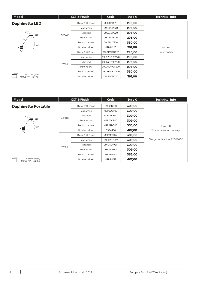| Model                                           |        | <b>CCT &amp; Finish</b> | Code          | Euro $\epsilon$ | <b>Technical Info</b> |
|-------------------------------------------------|--------|-------------------------|---------------|-----------------|-----------------------|
| <b>Daphinette LED</b>                           |        | <b>Black Soft-Touch</b> | 09L01ST220    | 296,00          |                       |
|                                                 |        | Matt white              | 09L02OP220    | 296,00          |                       |
| $200^\circ$                                     |        | Matt red                | 09L03OP220    | 296,00          |                       |
| 360°<br>$8 \sqrt{ }$<br>35                      | 3000 K | Matt yellow             | 09L05OP220    | 296,00          |                       |
| $180^\circ$<br>$8 \blacksquare$                 |        | Metallic bronze         | 09L29MT220    | 350,00          |                       |
|                                                 |        | <b>Brushed Nickel</b>   | 09L44220      | 397,00          | 5W LED                |
| 9,5                                             |        | <b>Black Soft-Touch</b> | 09L01STK27220 | 296,00          | On-off switch         |
|                                                 |        | Matt white              | 09L02OPK27220 | 296,00          |                       |
|                                                 | 2700 K | Matt red                | 09L03OPK27220 | 296,00          |                       |
|                                                 |        | Matt yellow             | 09L05OPK27220 | 296,00          |                       |
|                                                 |        | Metallic bronze         | 09L29MTK27220 | 350,00          |                       |
| 44×17×11 (cm)<br>0,008 m <sup>3</sup> - 1,81 Kg |        | <b>Brushed Nickel</b>   | 09L44K27220   | 397,00          |                       |

| Model                                           |        | <b>CCT &amp; Finish</b> | Code       | Euro $\epsilon$ | <b>Technical Info</b>          |
|-------------------------------------------------|--------|-------------------------|------------|-----------------|--------------------------------|
| <b>Daphinette Portatile</b>                     |        | <b>Black Soft-Touch</b> | 09P01ST00  | 309,00          |                                |
|                                                 |        | Matt white              | 09P02OP00  | 309,00          |                                |
| $200^\circ$                                     |        | Matt red                | 09P03OP00  | 309,00          |                                |
| $360^\circ$<br>8 <sup>t</sup><br>25             | 3000 K | Matt yellow             | 09P05OP00  | 309,00          |                                |
| $180^\circ$<br>$8 \equiv$<br>9,5                |        | Metallic bronze         | 09P29MT00  | 365,00          | 2,5W LED                       |
|                                                 |        | <b>Brushed Nickel</b>   | 09P4400    | 407,00          | Touch-dimmer on the lamp       |
|                                                 |        | <b>Black Soft-Touch</b> | 09P01STK27 | 309,00          |                                |
|                                                 |        | Matt white              | 09P02OPK27 | 309,00          | Charger included for 220V-240V |
|                                                 |        | Matt red                | 09P03OPK27 | 309,00          |                                |
|                                                 | 2700 K | Matt yellow             | 09P05OPK27 | 309,00          |                                |
|                                                 |        | Metallic bronze         | 09P29MTK27 | 365,00          |                                |
| 44×17×11 (cm)<br>0,008 m <sup>3</sup> - 1,62 Kg |        | <b>Brushed Nickel</b>   | 09P44K27   | 407,00          |                                |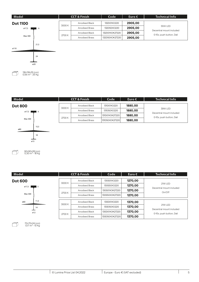

| Model          |        | <b>CCT &amp; Finish</b> |                       | Code           | Euro $\epsilon$ | <b>Technical Info</b>               |
|----------------|--------|-------------------------|-----------------------|----------------|-----------------|-------------------------------------|
| <b>Dot 800</b> |        | 3000 K                  | Anodised Black        | 131D01XO220    | 1880,00         |                                     |
| $\varphi$ 17,5 |        |                         | <b>Anodised Brass</b> | 131D50XO220    | 1880,00         | 39W LED<br>Decentral mount included |
|                |        |                         | Anodised Black        | 131D01XOK27220 | 1880,00         | 0-10v, push button, Dali            |
| Max 300        | 2700 K | <b>Anodised Brass</b>   | 131D50XOK272201       | 1880,00        |                 |                                     |
| ø80            | 15,5   |                         |                       |                |                 |                                     |

71

៕

**Dot 600** 14 11,5 Max 300  $\sigma$ 17,5  $\frac{1}{2}$  5 ø60 ø12

18

ø15

90×90×28 (cm)<br>0,30 m<sup>3</sup> - 18 Kg

| Model         |      |        | <b>CCT &amp; Finish</b> | Code           | Euro $\epsilon$ | <b>Technical Info</b>               |
|---------------|------|--------|-------------------------|----------------|-----------------|-------------------------------------|
| <b>ot 600</b> |      | 3000 K | <b>Anodised Black</b>   | 130S01XO220    | 1270,00         |                                     |
| ø17,5         | 5    |        | <b>Anodised Brass</b>   | 130S50XO220    | 1270,00         | 21W LED                             |
|               |      | 2700 K | <b>Anodised Black</b>   | 130S01XOK27220 | 1270,00         | Decentral mount included<br>On/Off  |
| Max 300       |      |        | <b>Anodised Brass</b>   | 130S50XOK27220 | 1270,00         |                                     |
| ø60           | 11,5 |        | <b>Anodised Black</b>   | 130D01XO220    | 1370,00         |                                     |
|               | 14   | 3000 K | <b>Anodised Brass</b>   | 130D50XO220    | 1370,00         | 21W LED<br>Decentral mount included |
| 012           |      |        | <b>Anodised Black</b>   | 130D01XOK27220 | 1370,00         | 0-10v, push button, Dali            |
|               |      | 2700 K | <b>Anodised Brass</b>   | 130D50XOK27220 | 1370,00         |                                     |

70×70×24 (cm)<br>0,17 m<sup>3</sup> - 10 Kg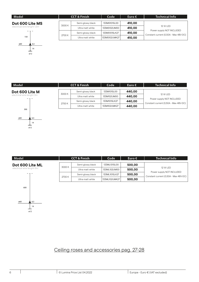| Model                       | <b>CCT &amp; Finish</b> |                   | Code          | Euro $\epsilon$ | <b>Technical Info</b>                                              |
|-----------------------------|-------------------------|-------------------|---------------|-----------------|--------------------------------------------------------------------|
| Dot 600 Lite MS             |                         | Semi-glossy black | 133MS101SL00  | 410,00          |                                                                    |
| electrical wire lenght 1,5m | 3000 K                  | Ultra matt white  | 133MS102UM00  | 410,00          | <b>12 W LED</b>                                                    |
|                             |                         | Semi-glossy black | 133MS101SLK27 | 410,00          | Power supply NOT INCLUDED<br>Constant current (0,50A - Max 48V-DC) |
| 150                         | 2700 K                  | Ultra matt white  | 133MS102UMK27 | 410,00          |                                                                    |

ø60

#### **Dot 600 Lite M**

 $\vert$  14  $6,5$ 

ø12



14 6,5

ø12

600

ø60

| <b>CCT &amp; Finish</b> |                   | Code<br>Euro $\epsilon$ |        | Technical Info                                                     |
|-------------------------|-------------------|-------------------------|--------|--------------------------------------------------------------------|
|                         |                   |                         |        |                                                                    |
| 3000 K                  | Semi-glossy black | 133M101SL00             | 440,00 |                                                                    |
|                         | Ultra matt white  | 133M102UM00             | 440,00 | <b>12 W LED</b>                                                    |
| 2700 K                  | Semi-glossy black | 133M101SLK27            | 440,00 | Power supply NOT INCLUDED<br>Constant current (0,50A - Max 48V-DC) |
|                         | Ultra matt white  | 133M102UMK27            | 440,00 |                                                                    |

| Model                     |        | <b>CCT &amp; Finish</b> | Code          | Euro $\epsilon$ | <b>Technical Info</b>                                              |
|---------------------------|--------|-------------------------|---------------|-----------------|--------------------------------------------------------------------|
| Dot 600 Lite ML           |        | Semi-glossy black       | 133ML101SL00  | 500,00          |                                                                    |
| electrical wire lenght 6m | 3000K  | Ultra matt white        | 133ML102UM00  | 500,00          | <b>12 W LED</b>                                                    |
|                           |        | Semi-glossy black       | 133ML101SLK27 | 500,00          | Power supply NOT INCLUDED<br>Constant current (0,50A - Max 48V-DC) |
|                           | 2700 K | Ultra matt white        | 133ML102UMK27 | 500,00          |                                                                    |

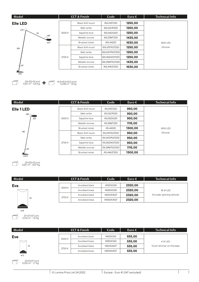| Model           |        | <b>CCT &amp; Finish</b> | Code          | Euro $\epsilon$ | <b>Technical Info</b> |
|-----------------|--------|-------------------------|---------------|-----------------|-----------------------|
| <b>Elle LED</b> |        | <b>Black Soft-touch</b> | 60L01ST220    | 1250,00         |                       |
| 270°            |        | Matt white              | 60L02OP220    | 1250,00         |                       |
| 94              | 3000 K | Sapphire blue           | 60L06ZA220    | 1250,00         |                       |
| $180^\circ$     |        | Metallic bronze         | 60L29MT220    | 1435,00         |                       |
| ø23             |        | <b>Brushed nickel</b>   | 60L44220      | 1630,00         | 45W LED               |
| 200             |        | <b>Black Soft-touch</b> | 60L01STK27220 | 1250,00         | Dimmer                |
|                 |        | Matt white              | 60L02OPK27220 | 1250,00         |                       |
|                 | 2700 K | Sapphire blue           | 60L06ZAK27220 | 1250,00         |                       |
|                 |        | Metallic bronze         | 60L29MTK27220 | 1435,00         |                       |
| $k$ 20°         |        | <b>Brushed nickel</b>   | 60L44K27220   | 1630,00         |                       |
| ø34             |        |                         |               |                 |                       |

| Model       |        | <b>CCT &amp; Finish</b> | Code          | Euro $\epsilon$ | <b>Technical Info</b> |
|-------------|--------|-------------------------|---------------|-----------------|-----------------------|
| Elle 1 LED  |        | <b>Black Soft-touch</b> | 61L01ST220    | 950,00          |                       |
| $180^\circ$ |        | Matt white              | 61L02OP220    | 950,00          |                       |
| ø23         | 3000 K | Sapphire blue           | 61L06ZA220    | 950,00          |                       |
|             |        | Metallic bronze         | 61L29MT220    | 1115,00         |                       |
|             |        | Brushed nickel          | 61L44220      | 1300,00         | 45W LED               |
| 180         |        | Black Soft-touch        | 61L01STK27220 | 950,00          | Dimmer                |
|             |        | Matt white              | 61L02OPK27220 | 950,00          |                       |
|             | 2700 K | Sapphire blue           | 61L06ZAK27220 | 950,00          |                       |
| $+20^\circ$ |        | Metallic bronze         | 61L29MTK27220 | 1115,00         |                       |
|             |        | Brushed nickel          | 61L44K27220   | 1300,00         |                       |
| ø29,5       |        |                         |               |                 |                       |

| Model      |        |                | <b>CCT &amp; Finish</b> | Code       | Euro $\epsilon$ | <b>Technical Info</b>   |
|------------|--------|----------------|-------------------------|------------|-----------------|-------------------------|
| <b>Eva</b> |        | 3000 K         | Anodised black          | 14001XO00  | 2320,00         |                         |
|            |        | Anodised brass | 14050XO00               | 2320,00    | 18 W LED        |                         |
|            |        |                | Anodised black          | 14001XOK27 | 2320,00         | Encoder spinning dimmer |
| 30         | 2700 K | Anodised brass | 14050XOK27              | 2320,00    |                 |                         |
|            |        |                |                         |            |                 |                         |

| Model      |        | <b>CCT &amp; Finish</b> | Code       | Euro $\epsilon$ | <b>Technical Info</b>    |
|------------|--------|-------------------------|------------|-----------------|--------------------------|
| <b>Eve</b> |        | Anodised black          | 14101XO00  | 535,00          |                          |
|            | 3000 K | Anodised brass          | 14150XO00  | 535,00          | 4 W LED                  |
| 22         | 2700 K | Anodised black          | 14101XOK27 | 535,00          | Touch dimmer on the base |
|            |        | Anodised brass          | 14150XOK27 | 535,00          |                          |
| ø12        |        |                         |            |                 |                          |

ø18

T)

D

(cm) 27×27×47<br>0,04 m<sup>3</sup> - 7,2 Kg

(cm) 21×21×27<br>0,012 m<sup>3</sup> - 1,7 Kg

(cm) 211×33×13<br>0,127 m<sup>3</sup> - 9,57 Kg

7  $\sqrt{ }$ 

7

211×33×13 (cm) **+** 21,5×41,5×10,5 (cm) 211×33×13 (cm) + 3 (cm) 41,5×41,5×10,5 (cm)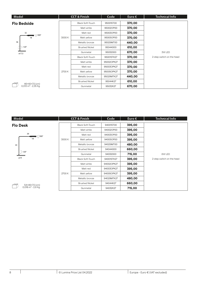| Model                                            |        | <b>CCT &amp; Finish</b> | Code       | Euro $\epsilon$ | Technical Info            |  |            |            |        |  |
|--------------------------------------------------|--------|-------------------------|------------|-----------------|---------------------------|--|------------|------------|--------|--|
| <b>Flo Bedside</b>                               |        | <b>Black Soft-Touch</b> | 95001ST00  | 370,00          |                           |  |            |            |        |  |
|                                                  |        | Matt white              | 95002OP00  | 370,00          |                           |  |            |            |        |  |
| 32                                               |        | Matt red                | 95003OP00  | 370,00          |                           |  |            |            |        |  |
| II († 300°<br>18                                 | 3000 K | Matt yellow             | 95005OP00  | 370,00          |                           |  |            |            |        |  |
| 36                                               |        | Metallic bronze         | 95029MT00  | 440,00          |                           |  |            |            |        |  |
| $120^\circ$                                      |        | <b>Brushed Nickel</b>   | 95044000   | 610,00          |                           |  |            |            |        |  |
| ø17,5                                            |        | Gunmetal                | 95032000   | 670,00          | 3W LED                    |  |            |            |        |  |
|                                                  |        | <b>Black Soft-Touch</b> | 95001STK27 | 370,00          | 2-step switch on the head |  |            |            |        |  |
|                                                  |        |                         |            |                 |                           |  | Matt white | 95002OPK27 | 370,00 |  |
|                                                  |        | Matt red                | 95003OPK27 | 370,00          |                           |  |            |            |        |  |
|                                                  | 2700 K | Matt yellow             | 95005OPK27 | 370,00          |                           |  |            |            |        |  |
|                                                  |        | Metallic bronze         | 95029MTK27 | 440,00          |                           |  |            |            |        |  |
|                                                  |        | <b>Brushed Nickel</b>   | 95044K27   | 610,00          |                           |  |            |            |        |  |
| 46×40×7,5 (cm)<br>0,013 m <sup>3</sup> - 2,35 Kg |        | Gunmetal                | 95032K27   | 670,00          |                           |  |            |            |        |  |

| Model                                           |        | <b>CCT &amp; Finish</b> | Code       | Euro $\epsilon$ | <b>Technical Info</b>               |
|-------------------------------------------------|--------|-------------------------|------------|-----------------|-------------------------------------|
| <b>Flo Desk</b>                                 |        | <b>Black Soft-Touch</b> | 94001ST00  | 395,00          |                                     |
|                                                 |        | Matt white              | 94002OP00  | 395,00          |                                     |
| 39<br>( ∫300°                                   |        | Matt red                | 94003OP00  | 395,00          |                                     |
| 18                                              | 3000 K | Matt yellow             | 94005OP00  | 395,00          |                                     |
| 43                                              |        | Metallic bronze         | 94029MT00  | 480,00          |                                     |
|                                                 |        | <b>Brushed Nickel</b>   | 94044000   | 660,00          |                                     |
| $\big)$ 120 $^{\circ}$                          |        | Gunmetal                | 94032000   | 715,00          | 6W LED<br>2-step switch on the head |
| ø19                                             |        | Black Soft-Touch        | 94001STK27 | 395,00          |                                     |
|                                                 |        | Matt white              | 94002OPK27 | 395,00          |                                     |
|                                                 |        | Matt red                | 94003OPK27 | 395,00          |                                     |
|                                                 | 2700 K | Matt yellow             | 94005OPK27 | 395,00          |                                     |
|                                                 |        | Metallic bronze         | 94029MTK27 | 480,00          |                                     |
|                                                 |        | <b>Brushed Nickel</b>   | 94044K27   | 660,00          |                                     |
| 54×46×7,5 (cm)<br>0,018 m <sup>3</sup> - 2,6 Kg |        | Gunmetal                | 94032K27   | 715,00          |                                     |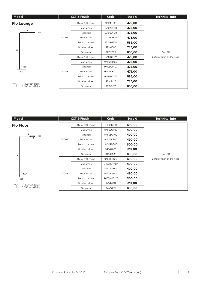| Model |                                                       |                       | <b>CCT &amp; Finish</b> | Code       | Euro $\epsilon$ | <b>Technical Info</b>     |
|-------|-------------------------------------------------------|-----------------------|-------------------------|------------|-----------------|---------------------------|
|       | <b>Flo Lounge</b>                                     |                       | Black Soft-Touch        | 97101ST00  | 475,00          |                           |
|       |                                                       |                       | Matt white              | 97102OP00  | 475,00          |                           |
|       | 42<br>∎†∫300°<br>18                                   |                       | Matt red                | 97103OP00  | 475,00          |                           |
|       |                                                       | 3000 K                | Matt yellow             | 97105OP00  | 475,00          |                           |
|       |                                                       |                       | Metallic bronze         | 97129MT00  | 585,00          |                           |
|       |                                                       |                       | <b>Brushed Nickel</b>   | 97144000   | 785,00          |                           |
| 100   |                                                       |                       | Gunmetal                | 97132000   | 855,00          | 3W LED                    |
|       |                                                       |                       | <b>Black Soft-Touch</b> | 97101STK27 | 475,00          | 2-step switch on the head |
|       |                                                       |                       | Matt white              | 97102OPK27 | 475,00          |                           |
|       | $\bigg)$ 120°                                         |                       | Matt red                | 97103OPK27 | 475,00          |                           |
|       | 023                                                   | 2700 K                | Matt yellow             | 97105OPK27 | 475,00          |                           |
|       |                                                       | Metallic bronze       | 97129MTK27              | 585,00     |                 |                           |
|       |                                                       | <b>Brushed Nickel</b> | 97144K27                | 785,00     |                 |                           |
|       | 123×56×8 (cm)<br>$0.053 \text{ m}^3 - 4.8 \text{ Kg}$ |                       | Gunmetal                | 97132K27   | 855,00          |                           |

| Model |                                                |                       | <b>CCT &amp; Finish</b> | Code       | Euro $\epsilon$ | <b>Technical Info</b>     |
|-------|------------------------------------------------|-----------------------|-------------------------|------------|-----------------|---------------------------|
|       | <b>Flo Floor</b>                               |                       | <b>Black Soft-Touch</b> | 94501ST00  | 490,00          |                           |
|       |                                                |                       | Matt white              | 94502OP00  | 490,00          |                           |
|       | 42<br>∎ (∫300°                                 |                       | Matt red                | 94503OP00  | 490,00          |                           |
|       | 18                                             | 3000 K                | Matt yellow             | 94505OP00  | 490,00          |                           |
|       |                                                |                       | Metallic bronze         | 94529MT00  | 600,00          |                           |
|       |                                                |                       | <b>Brushed Nickel</b>   | 94544000   | 815,00          | 6W LED                    |
| 110   |                                                |                       | Gunmetal                | 94532000   | 880,00          |                           |
|       |                                                |                       | <b>Black Soft-Touch</b> | 94501STK27 | 490,00          | 2-step switch on the head |
|       |                                                |                       | Matt white              | 94502OPK27 | 490,00          |                           |
|       |                                                |                       | Matt red                | 94503OPK27 | 490,00          |                           |
|       | $9120^\circ$                                   | 2700 K                | Matt yellow             | 94505OPK27 | 490,00          |                           |
|       | <b>ø23</b>                                     |                       | Metallic bronze         | 94529MTK27 | 600,00          |                           |
|       |                                                | <b>Brushed Nickel</b> | 94544K27                | 815,00     |                 |                           |
|       | 123×56×8 (cm)<br>0,053 m <sup>3</sup> - 4,8 Kg |                       | Gunmetal                | 94532K27   | 880,00          |                           |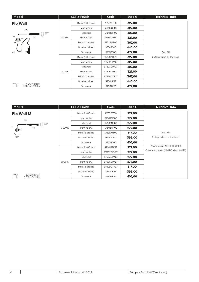| Model                                          |        | <b>CCT &amp; Finish</b> | Code       | Euro $\epsilon$ | <b>Technical Info</b>     |
|------------------------------------------------|--------|-------------------------|------------|-----------------|---------------------------|
| <b>Flo Wall</b>                                |        | <b>Black Soft-Touch</b> | 97501ST00  | 327,00          |                           |
| 36                                             |        | Matt white              | 97502OP00  | 327,00          |                           |
| $300^\circ$                                    |        | Matt red                | 97503OP00  | 327,00          |                           |
| 15<br>18<br>Ø5<br>$\mathbf{Q}$                 | 3000 K | Matt yellow             | 97505OP00  | 327,00          |                           |
| $180^\circ$                                    |        | Metallic bronze         | 97529MT00  | 367,00          |                           |
|                                                |        | <b>Brushed Nickel</b>   | 97544000   | 445,00          | <b>3W LED</b>             |
| -11<br>165                                     |        | Gunmetal                | 97532000   | 477,00          |                           |
|                                                |        | Black Soft-Touch        | 97501STK27 | 327,00          | 2-step switch on the head |
|                                                |        | Matt white              | 97502OPK27 | 327,00          |                           |
|                                                |        | Matt red                | 97503OPK27 | 327,00          |                           |
|                                                | 2700 K | Matt yellow             | 97505OPK27 | 327,00          |                           |
|                                                |        | Metallic bronze         | 97529MTK27 | 367,00          |                           |
|                                                |        | <b>Brushed Nickel</b>   | 97544K27   | 445,00          |                           |
| 50×31×8 (cm)<br>0,012 m <sup>3</sup> - 1,15 Kg |        | Gunmetal                | 97532K27   | 477,00          |                           |

| Model                                         |        | <b>CCT &amp; Finish</b> | Code       | Euro $\epsilon$ | <b>Technical Info</b>                 |
|-----------------------------------------------|--------|-------------------------|------------|-----------------|---------------------------------------|
| <b>Flo Wall M</b>                             |        | <b>Black Soft-Touch</b> | 97601ST00  | 277,00          |                                       |
| 36                                            |        | Matt white              | 97602OP00  | 277,00          |                                       |
| $300^\circ$                                   |        | Matt red                | 97603OP00  | 277,00          |                                       |
| 15<br>18<br>05 p                              | 3000 K | Matt yellow             | 97605OP00  | 277,00          |                                       |
|                                               |        | Metallic bronze         | 97629MT00  | 317,00          | <b>3W LED</b>                         |
| $180^\circ$                                   |        | <b>Brushed Nickel</b>   | 97644000   | 395,00          | 2-step switch on the head             |
|                                               |        | Gunmetal                | 97632000   | 410,00          |                                       |
|                                               |        | <b>Black Soft-Touch</b> | 97601STK27 | 277,00          | Power supply NOT INCLUDED             |
|                                               |        | Matt white              | 97602OPK27 | 277,00          | Constant current (24V-DC - Max 0,63A) |
|                                               |        | Matt red                | 97603OPK27 | 277,00          |                                       |
|                                               | 2700 K | Matt yellow             | 97605OPK27 | 277,00          |                                       |
|                                               |        | Metallic bronze         | 97629MTK27 | 317,00          |                                       |
|                                               |        | <b>Brushed Nickel</b>   | 97644K27   | 395,00          |                                       |
| 50×31×8 (cm)<br>0,012 m <sup>3</sup> - 1,1 Kg |        | Gunmetal                | 97632K27   | 410,00          |                                       |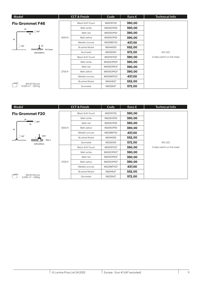| Model                                         |        | <b>CCT &amp; Finish</b> | Code       | Euro $\epsilon$ | <b>Technical Info</b>               |
|-----------------------------------------------|--------|-------------------------|------------|-----------------|-------------------------------------|
| <b>Flo Grommet F46</b>                        |        | <b>Black Soft-Touch</b> | 96001ST00  | 390,00          |                                     |
| 39                                            |        | Matt white              | 96002OP00  | 390,00          |                                     |
| $\uparrow$ 300°<br>18                         |        | Matt red                | 96003OP00  | 390,00          |                                     |
| 43                                            | 3000 K | Matt yellow             | 96005OP00  | 390,00          |                                     |
|                                               |        | Metallic bronze         | 96029MT00  | 437,00          |                                     |
| $\bigcirc$ 120 $^{\circ}$<br>ø5<br>10/13mm    |        | <b>Brushed Nickel</b>   | 96044000   | 552,00          |                                     |
| drill ø46mm                                   |        | Gunmetal                | 96032000   | 572,00          | 6W LED<br>2-step switch on the head |
|                                               |        | <b>Black Soft-Touch</b> | 96001STK27 | 390,00          |                                     |
|                                               |        | Matt white              | 96002OPK27 | 390,00          |                                     |
|                                               |        | Matt red                | 96003OPK27 | 390,00          |                                     |
|                                               | 2700 K | Matt yellow             | 96005OPK27 | 390,00          |                                     |
|                                               |        | Metallic bronze         | 96029MTK27 | 437,00          |                                     |
|                                               |        | <b>Brushed Nickel</b>   | 96044K27   | 552,00          |                                     |
| 69×47×8 (cm)<br>$0.025 \text{ m}^3$ - 1,62 Kg |        | Gunmetal                | 96032K27   | 572,00          |                                     |

| Model                                                |        | <b>CCT &amp; Finish</b> | Code       | Euro $\epsilon$ | <b>Technical Info</b>     |
|------------------------------------------------------|--------|-------------------------|------------|-----------------|---------------------------|
| <b>Flo Grommet F20</b>                               |        | <b>Black Soft-Touch</b> | 96201ST00  | 390,00          |                           |
| 39                                                   |        | Matt white              | 96202OP00  | 390,00          |                           |
| † 300°<br>18                                         |        | Matt red                | 96203OP00  | 390,00          |                           |
| 43                                                   | 3000 K | Matt yellow             | 96205OP00  | 390,00          |                           |
|                                                      |        | Metallic bronze         | 96229MT00  | 437,00          |                           |
| ø4,6<br>120°                                         |        | <b>Brushed Nickel</b>   | 96244000   | 552,00          |                           |
| Max 5<br>drill ø20mm                                 |        | Gunmetal                | 96232000   | 572,00          | 6W LED                    |
|                                                      |        | <b>Black Soft-Touch</b> | 96201STK27 | 390,00          | 2-step switch on the head |
|                                                      |        | Matt white              | 96202OPK27 | 390,00          |                           |
|                                                      |        | Matt red                | 96203OPK27 | 390,00          |                           |
|                                                      | 2700 K | Matt yellow             | 96205OPK27 | 390,00          |                           |
|                                                      |        | Metallic bronze         | 96229MTK27 | 437,00          |                           |
|                                                      |        | <b>Brushed Nickel</b>   | 96244K27   | 552,00          |                           |
| 69×47×8 (cm)<br>$0.025 \text{ m}^3 - 1.62 \text{Kg}$ |        | Gunmetal                | 96232K27   | 572,00          |                           |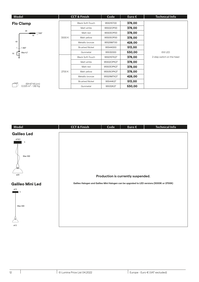| Model                                          |        | <b>CCT &amp; Finish</b> | Code       | Euro $\epsilon$ | <b>Technical Info</b>     |
|------------------------------------------------|--------|-------------------------|------------|-----------------|---------------------------|
| <b>Flo Clamp</b>                               |        | <b>Black Soft-Touch</b> | 95501ST00  | 378,00          |                           |
|                                                |        | Matt white              | 95502OP00  | 378,00          |                           |
| 39<br>(∫300°                                   |        | Matt red                | 95503OP00  | 378,00          |                           |
| 18                                             | 3000 K | Matt yellow             | 95505OP00  | 378,00          |                           |
| 43                                             |        | Metallic bronze         | 95529MT00  | 428,00          |                           |
| $\mathbf{C}$<br>$>$ 360 $^{\circ}$             |        | <b>Brushed Nickel</b>   | 95544000   | 513,00          |                           |
| Max 4,7<br>10                                  |        | Gunmetal                | 95532000   | 530,00          | 6W LED                    |
|                                                |        | <b>Black Soft-Touch</b> | 95501STK27 | 378,00          | 2-step switch on the head |
|                                                |        | Matt white              | 95502OPK27 | 378,00          |                           |
|                                                |        | Matt red                | 95503OPK27 | 378,00          |                           |
|                                                | 2700 K | Matt yellow             | 95505OPK27 | 378,00          |                           |
|                                                |        | Metallic bronze         | 95529MTK27 | 428,00          |                           |
|                                                |        | <b>Brushed Nickel</b>   | 95544K27   | 513,00          |                           |
| 69×47×8 (cm)<br>0,025 m <sup>3</sup> - 1,82 Kg |        | Gunmetal                | 95532K27   | 530,00          |                           |

| Model                                            | <b>CCT &amp; Finish</b> | Code                               | Euro $\epsilon$ | <b>Technical Info</b>                                                                     |
|--------------------------------------------------|-------------------------|------------------------------------|-----------------|-------------------------------------------------------------------------------------------|
| <b>Galileo Led</b>                               |                         |                                    |                 |                                                                                           |
| ø16,5<br>5<br>Max 300<br>ø20                     |                         | Production is currently suspended. |                 |                                                                                           |
| <b>Galileo Mini Led</b>                          |                         |                                    |                 | Galileo Halogen and Galileo Mini Halogen can be upgrated to LED versions (3000K or 2700K) |
| ø15<br>$\overline{\mathbf{3}}$<br>Max 300<br>ø12 |                         |                                    |                 |                                                                                           |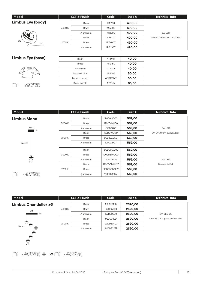| Model                    | <b>CCT &amp; Finish</b> |           | Code     | Euro $\epsilon$ | <b>Technical Info</b>                |
|--------------------------|-------------------------|-----------|----------|-----------------|--------------------------------------|
| <b>Limbus Eye (body)</b> |                         | Black     | 1910100  | 490,00          |                                      |
| 0 <sup>12</sup><br>200   | 3000 K                  | Brass     | 1915000  | 490,00          |                                      |
|                          |                         | Aluminium | 1912200  | 490,00          | 5W LED<br>Switch dimmer on the cable |
|                          | 2700 K                  | Black     | 19101K27 | 490,00          |                                      |
|                          |                         | Brass     | 19150K27 | 490,00          |                                      |
|                          |                         | Aluminium | 19122K27 | 490,00          |                                      |

### **Limbus Eye (base)**



| Black           | AT19101   | 40,00 |
|-----------------|-----------|-------|
| <b>Brass</b>    | AT19150   | 40,00 |
| Aluminium       | AT19122   | 40,00 |
| Sapphire blue   | AT19106   | 50,00 |
| Metallic bronze | AT19129MT | 50,00 |
| Black marble    | AT19175   | 65,00 |

| Model                                          | <b>CCT &amp; Finish</b> |              | Code         | Euro $\epsilon$ | <b>Technical Info</b>      |
|------------------------------------------------|-------------------------|--------------|--------------|-----------------|----------------------------|
| <b>Limbus Mono</b>                             |                         | <b>Black</b> | 190D01XO00   | 569,00          |                            |
|                                                | 3000 K                  | <b>Brass</b> | 190D50XO00   | 569,00          |                            |
| ø17,5                                          |                         | Aluminium    | 190D2200     | 569,00          | 5W LED                     |
| 5                                              |                         | <b>Black</b> | 190D01XOK27  | 569,00          | On-Off, 0-10v, push button |
|                                                | 2700 K                  | <b>Brass</b> | 190D50XOK27  | 569,00          |                            |
| Max 300                                        |                         | Aluminium    | 190D22K27    | 569,00          |                            |
|                                                |                         |              |              |                 |                            |
|                                                |                         | Black        | 190DD01XO00  | 569,00          |                            |
|                                                | 3000 K                  | <b>Brass</b> | 190DD50XO00  | 569,00          |                            |
| ≜<br>@12                                       |                         | Aluminium    | 190DD2200    | 569,00          | 5W LED                     |
|                                                |                         | Black        | 190DD01XOK27 | 569,00          | Dimmable Dali              |
|                                                | 2700 K                  | <b>Brass</b> | 190DD50XOK27 | 569,00          |                            |
| 21×21×27 (cm)<br>0,012 m <sup>3</sup> - 3,5 Kg |                         | Aluminium    | 190DD22K27   | 569,00          |                            |

| Model                       | <b>CCT &amp; Finish</b> |              | Code       | $Euro \in \mathbb{R}$ | <b>Technical Info</b>            |
|-----------------------------|-------------------------|--------------|------------|-----------------------|----------------------------------|
| <b>Limbus Chandelier x6</b> |                         | <b>Black</b> | 192DD0100  | 2620,00               |                                  |
| ø43                         | 3000 K                  | <b>Brass</b> | 192DD5000  | 2620,00               |                                  |
| 4,3                         |                         | Aluminium    | 192DD2200  | 2620,00               | $5W$ LED $\times$ 6              |
|                             |                         | Black        | 192DD01K27 | 2620,00               | On-Off, 0-10v, push button, Dali |
| ≜<br><mark></mark>          | 2700 K                  | <b>Brass</b> | 192DD50K27 | 2620,00               |                                  |
| Max 150<br>♠                |                         | Aluminium    | 192DD22K27 | 2620,00               |                                  |
| ♠<br>⇔<br>●<br>ø12          |                         |              |            |                       |                                  |

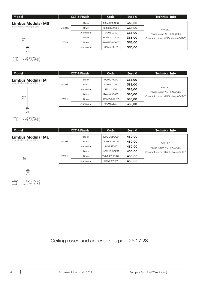| Model                       |        | <b>CCT &amp; Finish</b> |               | Euro $\epsilon$ | <b>Technical Info</b>                                                         |
|-----------------------------|--------|-------------------------|---------------|-----------------|-------------------------------------------------------------------------------|
| <b>Limbus Modular MS</b>    |        | <b>Black</b>            | 190MS101XO00  | 365,00          |                                                                               |
| electrical wire lenght 1,5m | 3000 K | <b>Brass</b>            | 190MS150XO00  | 365,00          | 5 W LED<br>Power supply NOT INCLUDED<br>Constant current (0,35A - Max 48V-DC) |
| Max<br>150<br>♠             |        | Aluminium               | 190MS12200    | 365,00          |                                                                               |
|                             |        | <b>Black</b>            | 190MS101XOK27 | 365,00          |                                                                               |
|                             | 2700 K | <b>Brass</b>            | 190MS150XOK27 | 365,00          |                                                                               |
|                             |        | Aluminium               | 190MS122K27   | 365,00          |                                                                               |
| 012                         |        |                         |               |                 |                                                                               |

| Model                     |        | <b>CCT &amp; Finish</b> |              | Euro $\epsilon$ | <b>Technical Info</b>                                                         |
|---------------------------|--------|-------------------------|--------------|-----------------|-------------------------------------------------------------------------------|
| <b>Limbus Modular M</b>   |        | Black                   | 190M101XO00  | 385,00          |                                                                               |
| electrical wire lenght 3m | 3000 K | <b>Brass</b>            | 190M150XO00  | 385,00          | 5 W LED<br>Power supply NOT INCLUDED<br>Constant current (0,35A - Max 48V-DC) |
| Max<br>300                |        | Aluminium               | 190M12200    | 385,00          |                                                                               |
|                           |        | Black                   | 190M101XOK27 | 385,00          |                                                                               |
|                           | 2700 K | <b>Brass</b>            | 190M150XOK27 | 385,00          |                                                                               |
|                           |        | Aluminium               | 190M122K27   | 385,00          |                                                                               |

Ħ (cm) 21×21×27<br>0,012 m<sup>3</sup> - 2,7 Kg

 $\frac{6}{912}$ 

(cm) 21×21×27<br>0,012 m<sup>3</sup> - 2,7 Kg

Ħ

| Model                     |        | <b>CCT &amp; Finish</b> | Code          | Euro $\epsilon$ | <b>Technical Info</b>                 |
|---------------------------|--------|-------------------------|---------------|-----------------|---------------------------------------|
| <b>Limbus Modular ML</b>  |        | Black                   | 190ML101XO00  | 430,00          |                                       |
| electrical wire lenght 6m | 3000 K | <b>Brass</b>            | 190ML150XO00  | 430,00          | 5 W LED                               |
|                           |        | Aluminium               | 190ML12200    | 430,00          | Power supply NOT INCLUDED             |
|                           |        | <b>Black</b>            | 190ML101XOK27 | 430,00          | Constant current (0,35A - Max 48V-DC) |
| Max                       | 2700 K | <b>Brass</b>            | 190ML150XOK27 | 430,00          |                                       |
| 600                       |        | Aluminium               | 190ML122K27   | 430,00          |                                       |
|                           |        |                         |               |                 |                                       |
| ♠<br>@12                  |        |                         |               |                 |                                       |

(cm) 21×21×27<br>0,012 m<sup>3</sup> - 2,7 Kg

Ħ

## Ceiling roses and accessories pag. 26-27-28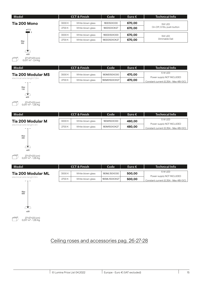| Model               |                  | <b>CCT &amp; Finish</b> |                   | <b>Code</b>  | Euro $\epsilon$ | <b>Technical Info</b>      |
|---------------------|------------------|-------------------------|-------------------|--------------|-----------------|----------------------------|
| <b>Tia 200 Mono</b> |                  | 3000 K                  | White blown glass | 180D50XO00   | 670,00          | 5W LED                     |
|                     | ø17,5            | 2700 K                  | White blown glass | 180D50XOK27  | 670,00          | On-Off, 0-10v, push button |
|                     | $\blacksquare$ 5 | 3000 K                  | White blown glass | 180DD50XO00  | 670,00          | 5W LED                     |
| Max                 |                  | 2700 K                  | White blown glass | 180DD50XOK27 | 670,00          | Dimmable Dali              |
| 300                 |                  |                         |                   |              |                 |                            |

T,

| Model                       |        | <b>CCT &amp; Finish</b> | Code          | Euro $\epsilon$ | <b>Technical Info</b>                                              |
|-----------------------------|--------|-------------------------|---------------|-----------------|--------------------------------------------------------------------|
| <b>Tia 200 Modular MS</b>   | 3000 K | White blown glass       | 180MS150XO00  | 470,00          | 5 W LED                                                            |
| electrical wire lenght 1.5m | 2700 K | White blown glass       | 180MS150XOK27 | 470,00          | Power supply NOT INCLUDED<br>Constant current (0,35A - Max 48V-DC) |



ø20

(cm) 27×27×23<br>0,017 m<sup>3</sup> - 2,4 Kg

| Model                     |        | <b>CCT &amp; Finish</b> | Code         | Euro $\epsilon$ | <b>Technical Info</b>                 |
|---------------------------|--------|-------------------------|--------------|-----------------|---------------------------------------|
| Tia 200 Modular M         | 3000 K | White blown glass       | 180M150XO00  | 480,00          | 5 W LED<br>Power supply NOT INCLUDED  |
| electrical wire lenght 3m | 2700 K | White blown glass       | 180M150XOK27 | 480,00          | Constant current (0,35A - Max 48V-DC) |



| Model                     |        | <b>CCT &amp; Finish</b> | Code                       | Euro $\epsilon$ | <b>Technical Info</b>                 |
|---------------------------|--------|-------------------------|----------------------------|-----------------|---------------------------------------|
| <b>Tia 200 Modular ML</b> | 3000 K | White blown glass       | 180ML150XO00               | 500,00          | 5 W LED<br>Power supply NOT INCLUDED  |
| electrical wire lenght 6m | 2700 K | White blown glass       | <sup>1</sup> 180ML150XOK27 | 500,00          | Constant current (0,35A - Max 48V-DC) |



## Ceiling roses and accessories pag. 26-27-28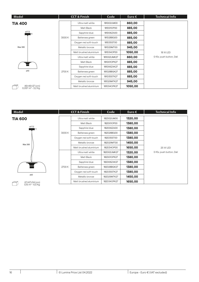|        | <b>CCT &amp; Finish</b> | Code        | Euro $\epsilon$ | <b>Technical Info</b>    |
|--------|-------------------------|-------------|-----------------|--------------------------|
|        | Ultra matt white        | 181D02UM00  | 860,00          |                          |
|        | Matt Black              | 181D01OP00  | 885,00          |                          |
|        | Sapphire blue           | 181D06ZA00  | 885,00          |                          |
| 3000 K | Battersea green         | 181D28BG00  | 885,00          |                          |
|        | Oxygen red soft-touch   | 181D35ST00  | 885,00          |                          |
|        | Metallic bronze         | 181D29MT00  | 945,00          | 18 W LED                 |
|        | Matt brushed aluminium  | 181D34OP00  | 1050,00         |                          |
|        | Ultra matt white        | 181D02UMK27 | 860,00          | 0-10v, push button, Dali |
|        | Matt Black              | 181D01OPK27 | 885,00          |                          |
|        | Sapphire blue           | 181D06ZAK27 | 885,00          |                          |
| 2700 K | Battersea green         | 181D28BGK27 | 885,00          |                          |
|        | Oxygen red soft-touch   | 181D35STK27 | 885,00          |                          |
|        | Metallic bronze         | 181D29MTK27 | 945,00          |                          |
|        | Matt brushed aluminium  | 181D34OPK27 | 1050,00         |                          |
|        |                         |             |                 |                          |

| Model                        |        | $\overline{CCT\&F}$ inish | Code        | Euro $\epsilon$ | <b>Technical Info</b>    |
|------------------------------|--------|---------------------------|-------------|-----------------|--------------------------|
| <b>TIA 600</b>               |        | Ultra matt white          | 182D02UM00  | 1320,00         |                          |
|                              |        | Matt Black                | 182D01OP00  | 1380,00         |                          |
| ø17,5<br>l 5                 |        | Sapphire blue             | 182D06ZA00  | 1380,00         |                          |
|                              | 3000 K | Battersea green           | 182D28BG00  | 1380,00         |                          |
|                              |        | Oxygen red soft-touch     | 182D35ST00  | 1380,00         |                          |
| Max 300                      |        | Metallic bronze           | 182D29MT00  | 1450,00         |                          |
|                              |        | Matt brushed aluminium    | 182D34OP00  | 1650,00         | <b>25 W LED</b>          |
|                              |        | Ultra matt white          | 182D02UMK27 | 1320,00         | 0-10v, push button, Dali |
|                              |        | Matt Black                | 182D01OPK27 | 1380,00         |                          |
|                              |        | Sapphire blue             | 182D06ZAK27 | 1380,00         |                          |
|                              | 2700 K | Battersea green           | 182D28BGK27 | 1380,00         |                          |
|                              |        | Oxygen red soft touch     | 182D35STK27 | 1380,00         |                          |
| 060                          |        | Metallic bronze           | 182D29MTK27 | 1450,00         |                          |
| 67×67×34 (cm)                |        | Matt brushed aluminium    | 182D34OPK27 | 1650,00         |                          |
| 0,15 m <sup>3</sup> - 6,5 Kg |        |                           |             |                 |                          |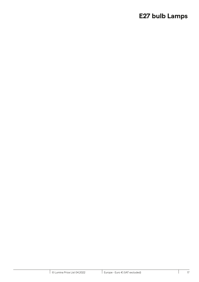## **E27 bulb Lamps**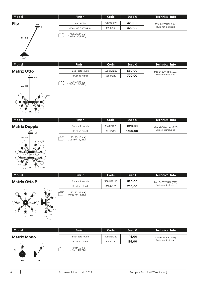| Model                     | <b>Finish</b>                                    | Code      | Euro $\epsilon$ | Technical Info     |
|---------------------------|--------------------------------------------------|-----------|-----------------|--------------------|
| <b>Flip</b><br><b>ø22</b> | Matt white                                       | 2202OP220 | 420,00          | Max 150W HAL (E27) |
| - 9                       | Anodised aluminium                               | 2208220   | 420,00          | Bulb not included  |
| $94 \div 140$             | 120×45×19 (cm)<br>0,103 m <sup>3</sup> - 3,95 Kg |           |                 |                    |

**Model Finish Code Euro € Technical Info**

### **Matrix Otto**

ø37



| Model                | <b>Finish</b>    | Code       | Euro $\epsilon$ | <b>Technical Info</b> |
|----------------------|------------------|------------|-----------------|-----------------------|
| <b>Matrix Doppia</b> | Black soft-touch | 38701ST220 | 1120,00         | Max 16×60W HAL (E27)  |
| ø13<br>115           | Brushed nickel   | 38744220   | 1360,00         | Bulbs not included    |

Black soft-touch **55001ST220 550,00** Max 8×60W HAL (E27) Brushed nickel **38544220 720,00** Bulbs not included



| 50×50×23 (cm)                  |
|--------------------------------|
| 0.058 $\mathrm{m}^3$ - 6,12 Kg |

| Model                                              | Finish                                         | Code       | Euro $\epsilon$ | <b>Technical Info</b> |
|----------------------------------------------------|------------------------------------------------|------------|-----------------|-----------------------|
| <b>Matrix Otto P</b>                               | Black soft-touch                               | 38901ST220 | 620,00          | Max 8×60W HAL (E27)   |
|                                                    | Brushed nickel                                 | 38944220   | 760,00          | Bulbs not included    |
| $ $ ø13<br>n<br>-<br>ø82<br>$\frac{1}{20^{\circ}}$ | 50×50×23 (cm)<br>0,058 m <sup>3</sup> - 4,2 Kg |            |                 |                       |

| Model              | <b>Finish</b>                                       | Code       | Euro $\epsilon$ | <b>Technical Info</b> |
|--------------------|-----------------------------------------------------|------------|-----------------|-----------------------|
| <b>Matrix Mono</b> | Black soft-touch                                    | 39501ST220 | 145,00          | Max 60W HAL (E27)     |
|                    | Brushed nickel                                      | 39544220   | 185,00          | Bulbs not included    |
| 30                 | ⋐<br>16×16×39 (cm)<br>0,01 m <sup>3</sup> - 0,82 Kg |            |                 |                       |

ø11

29

₫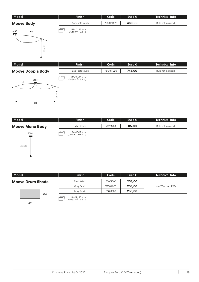| Model                                                       | <b>Finish</b>                                   | Code       | Euro $\epsilon$ | <b>Technical Info</b> |
|-------------------------------------------------------------|-------------------------------------------------|------------|-----------------|-----------------------|
| <b>Moove Body</b>                                           | Black soft-touch                                | 75001ST220 | 480,00          | Bulb not included     |
| ø13,5<br>125<br>┳<br>75<br>$\overline{\phantom{0}}$<br>30 ÷ | 138×12×23 (cm)<br>0,038 m <sup>3</sup> - 2,5 Kg |            |                 |                       |

| Model                                                               | Finish                                          | Code       | Euro $\epsilon$ | <b>Technical Info</b> |
|---------------------------------------------------------------------|-------------------------------------------------|------------|-----------------|-----------------------|
| <b>Moove Doppia Body</b>                                            | Black soft-touch                                | 75101ST220 | 745,00          | Bulb not included     |
| ø13,5<br>125<br>. .<br>57<br>$\cdot \cdot$<br>$\approx$<br>٠<br>248 | 138×12×23 (cm)<br>0,038 m <sup>3</sup> - 3,2 Kg |            |                 |                       |

| Model                   | <b>Finish</b>                                   | Code     | Euro $\epsilon$ | <b>Technical Info</b> |
|-------------------------|-------------------------------------------------|----------|-----------------|-----------------------|
| <b>Moove Mono Body</b>  | Matt black                                      | 75201220 | 115,00          | Bulb not included     |
| ø12,5<br><b>MAX 250</b> | 24×16×12 (cm)<br>0,005 m <sup>3</sup> - 0,69 Kg |          |                 |                       |

| Model                   | <b>Finish</b> | Code     | Euro $\epsilon$ | Technical Info    |
|-------------------------|---------------|----------|-----------------|-------------------|
| <b>Moove Drum Shade</b> | Black fabric  | 76001000 | 238,00          |                   |
|                         | Grey fabric   | 76004000 | 238,00          | Max 75W HAL (E27) |
|                         | Ivory fabric  | 76013000 | 238,00          |                   |
| 20,5                    |               |          |                 |                   |

 $\Box$ 49×49×26 (cm)<br>0,062 m<sup>3</sup> - 2,6 Kg

ø42,5

Â,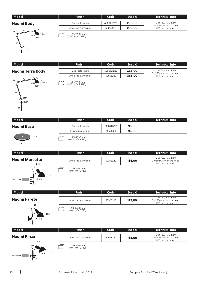#### Black soft-touch 30001ST220 **290,00** Max 75W HAL (E27) On/off switch on the head Anodised aluminium 30008220 **290,00** LED bulb included **Naomi Body Model Finish Code Euro € Technical Info** 45



| 120×27×17 (cm)<br>0,055 m <sup>3</sup> - 2,26 Kg |
|--------------------------------------------------|
|                                                  |

| Model                   | 'Finish.           | Code       | Euro $\epsilon$ | <b>Technical Info</b>                          |
|-------------------------|--------------------|------------|-----------------|------------------------------------------------|
| <b>Naomi Terra Body</b> | Black soft-touch   | 30501ST220 | 365,00          | Max 75W HAL (E27)                              |
|                         | Anodised aluminium | 30508220   | 365,00          | On/off switch on the head<br>LED bulb included |
| ■ 20<br>$00^{\circ}$    |                    |            |                 |                                                |



| Model             | <b>Finish</b>     | Code       | 'Euro € i | <b>Technical Info</b> |
|-------------------|-------------------|------------|-----------|-----------------------|
| <b>Naomi Base</b> | Black soft-touch  | 31001ST220 | 95,00     |                       |
|                   | Brushed aluminium | 31034220   | 95,00     |                       |
| 1,5<br><b>CO</b>  | 29×29×3 (cm)      |            |           |                       |



| 29×29×3 (cm)             |
|--------------------------|
| 0.003 $\rm m^3$ - 4,5 Kg |

| Model                                                 | <b>Finish</b>                                  | Code     | Euro $\epsilon$ | <b>Technical Info</b>                                               |
|-------------------------------------------------------|------------------------------------------------|----------|-----------------|---------------------------------------------------------------------|
| <b>Naomi Morsetto</b><br>24,5                         | Anodised aluminium                             | 32908220 | 185,00          | Max 75W HAL (E27)<br>On/off switch on the head<br>LED bulb included |
| $\bullet$<br>25<br>ø13<br>Max 50mm<br>z.<br>$\bullet$ | 24×24×19 (cm)<br>0,011 m <sup>3</sup> - 0,7 Kg |          |                 |                                                                     |

| Model               | <b>Finish</b>                                  | Code     | Euro $\epsilon$ | Technical Info                                                      |
|---------------------|------------------------------------------------|----------|-----------------|---------------------------------------------------------------------|
| <b>Naomi Parete</b> | Anodised aluminium                             | 33008220 | 172,00          | Max 75W HAL (E27)<br>On/off switch on the head<br>LED bulb included |
| 27<br>20,5<br>ø13   | 24×24×19 (cm)<br>0,011 m <sup>3</sup> - 0,7 Kg |          |                 |                                                                     |

| Model                                   | <b>Finish</b>                                  | Code     | Euro $\epsilon$ | <b>Technical Info</b>                                               |
|-----------------------------------------|------------------------------------------------|----------|-----------------|---------------------------------------------------------------------|
| <b>Naomi Pinza</b><br>25,5              | Anodised aluminium                             | 32808220 | 185,00          | Max 75W HAL (E27)<br>On/off switch on the head<br>LED bulb included |
| 21<br>013<br>Max 47mm<br><b>Parties</b> | 24×24×19 (cm)<br>0,011 m <sup>3</sup> - 0,7 Kg |          |                 |                                                                     |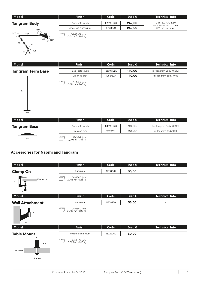| Model               | <b>Finish</b>      | .Code1     | Euro $\epsilon$ | Technical Info                                 |
|---------------------|--------------------|------------|-----------------|------------------------------------------------|
| <b>Tangram Body</b> | Black soft-touch   | 10101ST220 | 242,00          | Max 75W HAL (E27)                              |
| $180^\circ$         | Anodised aluminium | 10108220   | 242,00          | On/off switch on the head<br>LED bulb included |
|                     |                    |            |                 |                                                |



|  | 86×22×22 (cm)<br>$0.042 \text{ m}^3$ - 1.94 Ka |
|--|------------------------------------------------|
|--|------------------------------------------------|

| Model                     | <b>Finish</b>                                  | Code       | Euro $\epsilon$ | <b>Technical Info</b>    |
|---------------------------|------------------------------------------------|------------|-----------------|--------------------------|
| <b>Tangram Terra Base</b> | Black soft-touch                               | 12501ST220 | 140,00          | For Tangram Body 10101ST |
|                           | Crackled grey                                  | 12519220   | 140,00          | For Tangram Body 10108   |
|                           | 77×26×7 (cm)<br>0,014 m <sup>3</sup> - 5,03 Kg |            |                 |                          |
| 94<br>ø24                 |                                                |            |                 |                          |
| Model                     | Finish                                         | Code       | Euro $\epsilon$ | <b>Technical Info</b>    |
| <b>Tangram Base</b>       | Black soft-touch                               | 11401ST220 | 90,00           | For Tangram Body 10101ST |

| ø24 |
|-----|

| DIAUN SUI L'UUUTT                                | 1140101220 | シャ・マー |
|--------------------------------------------------|------------|-------|
| Crackled grey                                    | 11419220   | 90,00 |
| 27×26×7 (cm)<br>$0,005$ m <sup>3</sup> - 3,13 Kg |            |       |

### **Accessories for Naomi and Tangram**

| Model                           | <b>Finish</b>                                   | Code     | Euro $\epsilon$ | <b>Technical Info</b>    |
|---------------------------------|-------------------------------------------------|----------|-----------------|--------------------------|
| <b>Clamp On</b>                 | Aluminium                                       | 11208220 | 35,00           | $\overline{\phantom{a}}$ |
| Max 50mm<br>9<br>$\overline{7}$ | 24×16×12 (cm)<br>0,005 m <sup>3</sup> - 0,28 Kg |          |                 |                          |
| Model                           | <b>Finish</b>                                   | Code     | Euro €          | <b>Technical Info</b>    |
| <b>Wall Attachment</b>          | Aluminium                                       | 11308220 | 35,00           | $\equiv$                 |
| 9<br>8,5                        | 24×16×12 (cm)<br>0,005 m <sup>3</sup> - 0,22 Kg |          |                 |                          |
| Model                           | <b>Finish</b>                                   | Code     | Euro€           | <b>Technical Info</b>    |
| <b>Table Mount</b>              | Polished aluminium                              | 33222000 | 30,00           | $\overline{\phantom{a}}$ |
| ø2<br>4,4                       | 24×16×12 (cm)<br>0,005 m <sup>3</sup> - 0,16 Kg |          |                 |                          |
| Max 30mm                        |                                                 |          |                 |                          |
| drill ø10mm                     |                                                 |          |                 |                          |

For Tangram Body 10108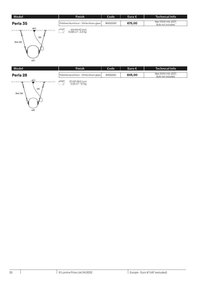| Model                  | <b>Finish</b>                                  | Code     | Euro $\epsilon$ | <b>Technical Info</b>                   |
|------------------------|------------------------------------------------|----------|-----------------|-----------------------------------------|
| Perla 35               | Polished aluminium - White blown glass         | 80022220 | 675,00          | Max 100W HAL (E27)<br>Bulb not included |
| ø6,5<br>185<br>Max 160 | 44×44×43 (cm)<br>0,083 m <sup>3</sup> - 5,4 Kg |          |                 |                                         |

| Model                       | <b>Finish</b>                                   | Code     | Euro $\epsilon$ | <b>Technical Info</b>                   |
|-----------------------------|-------------------------------------------------|----------|-----------------|-----------------------------------------|
| Perla 28                    | Polished aluminium - White blown glass          | 81022220 | 605,00          | Max 100W HAL (E27)<br>Bulb not included |
| ø6,5<br>o<br>185<br>Max 160 | 37×37×36,5 (cm)<br>0,05 m <sup>3</sup> - 4,1 Kg |          |                 |                                         |

ø35

 $\overline{028}$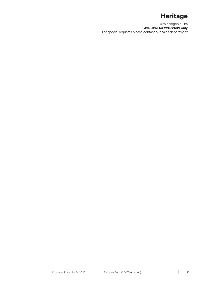## **Heritage**

with halogen bulbs **Available for 220/240V only** For special requests please contact our sales department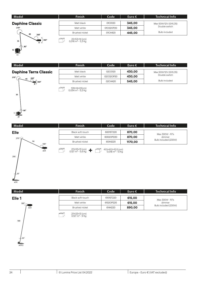| Model                                   | <b>Finish</b>                                  | Code      | Euro $\epsilon$ | <b>Technical Info</b> |
|-----------------------------------------|------------------------------------------------|-----------|-----------------|-----------------------|
| <b>Daphine Classic</b>                  | Matt black                                     | 01C0120   | 345,00          | Max 50W/12V (GY6,35)  |
| 270°                                    | Matt white                                     | 01C02OP20 | 345,00          | Double switch         |
| 40<br>$200^\circ$                       | Brushed nickel                                 | 01C4420   | 445,00          | <b>Bulb included</b>  |
| $\cdot$<br>360°<br>35<br>8 <sup>1</sup> | 22×53×14 (cm)<br>0,016 m <sup>3</sup> - 3,3 Kg |           |                 |                       |



| J | 22×53×14 (cm)            |
|---|--------------------------|
|   | 0,016 $\rm m^3$ - 3,3 Kg |

| Model                        | <b>Finish</b>         | Code      | Euro $\epsilon$ | <b>Technical Info</b> |
|------------------------------|-----------------------|-----------|-----------------|-----------------------|
| <b>Daphine Terra Classic</b> | Matt black            | 02C0120   | 430,00          | Max 50W/12V (GY6,35)  |
| $270^\circ$ (<br>$200^\circ$ | Matt white            | 02C02OP20 | 430,00          | Double switch         |
| $ 360^\circ$                 | <b>Brushed nickel</b> | 02C4420   | 545,00          | <b>Bulb included</b>  |
|                              |                       |           |                 |                       |



| 109×14×22(cm)<br>0.034 m <sup>3</sup> - 5,2 Kg |
|------------------------------------------------|
|                                                |

| Model             | <b>Finish</b>                                               | Code                                                | 'Euro € | Technical Info       |
|-------------------|-------------------------------------------------------------|-----------------------------------------------------|---------|----------------------|
| <b>Elle</b>       | Black soft-touch                                            | 6001ST220                                           | 870,00  | Max 300W - R7s       |
| $270^{\circ}$     | Matt white                                                  | 6002OP220                                           | 870,00  | dimmer               |
| 94<br>$180^\circ$ | Brushed nickel                                              | 6044220                                             | 1170,00 | Bulb included (230W) |
| ø23               | $211\times33\times13$ (cm)<br>0,127 m <sup>3</sup> - 5,6 Kg | 41,5×41,5×10,5 (cm)<br>0,018 m <sup>3</sup> - 13 Kg |         |                      |



| 211×33×13 (cm)<br>0,018 m <sup>3</sup> - 5,6 Kg $\bullet$ <b>for all and 1</b> 0,018 m <sup>3</sup> - 13 Kg |
|-------------------------------------------------------------------------------------------------------------|
|-------------------------------------------------------------------------------------------------------------|

| Model             | Finish                                        | Code      | Euro $\epsilon$ | Technical Info       |
|-------------------|-----------------------------------------------|-----------|-----------------|----------------------|
| Elle <sub>1</sub> | Black soft-touch                              | 6101ST220 | 615,00          | Max 300W - R7s       |
| $180^{\circ}$     | Matt white                                    | 6102OP220 | 615,00          | dimmer               |
| ø23               | Brushed nickel                                | 6144220   | 890,00          | Bulb included (230W) |
|                   | 211×33×13 (cm)<br>0,127 m <sup>3</sup> - 9 Kg |           |                 |                      |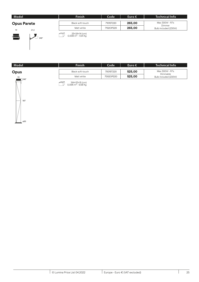| Model              | <b>Finish</b>    | Code      | Euro $\epsilon$ | <b>Technical Info</b>          |
|--------------------|------------------|-----------|-----------------|--------------------------------|
| <b>Opus Parete</b> | Black soft-touch | 7101ST220 | 265,00          | Max 300W - R7s                 |
|                    | Matt white       | 7102OP220 | 265,00          | Dimmer<br>Bulb included (230W) |
| 21,5<br>19         |                  |           |                 |                                |



(cm) 25×24×14<br>0,008 m<sup>3</sup> - 1,64 Kg

| Model                      | <b>Finish</b>    | Code      | Euro $\epsilon$ | <b>Technical Info</b>            |
|----------------------------|------------------|-----------|-----------------|----------------------------------|
| <b>Opus</b>                | Black soft-touch | 7001ST220 | 525,00          | Max 300W - R7s                   |
| 19                         | Matt white       | 7002OP220 | 525,00          | Dimmable<br>Bulb included (230W) |
| $^{\circ}$  240 $^{\circ}$ |                  |           |                 |                                  |



(cm) 194×33×15<br>0,096 m<sup>3</sup> - 9,58 Kg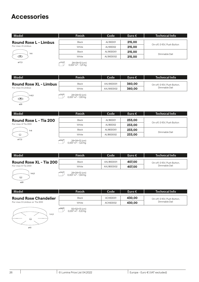## **Accessories**

| Model                        | <b>Finish</b>                 | Code      | Euro $\epsilon$ | <b>Technical Info</b>      |
|------------------------------|-------------------------------|-----------|-----------------|----------------------------|
| <b>Round Rose L - Limbus</b> | <b>Black</b>                  | AL190D01  | 215,00          |                            |
| For max 4 Limbus             | White                         | AL190D02  | 215,00          | On-off, 0-10V, Push Button |
| h <sub>6</sub>               | <b>Black</b>                  | AL190DD01 | 215,00          |                            |
| ☜                            | White                         | AL190DD02 | 215,00          | Dimmable Dali              |
| ø17,5                        | $24 \times 24 \times 12$ (cm) |           |                 |                            |

(cm) 24×24×12<br>0,007 m<sup>3</sup> - 1,21 Kg

| Model                         | <b>Finish</b> | Code       | Euro $\in$ | <b>Technical Info</b>       |
|-------------------------------|---------------|------------|------------|-----------------------------|
|                               |               |            |            |                             |
| <b>Round Rose XL - Limbus</b> | <b>Black</b>  | AXL190DD01 | 360,00     | On-off, 0-10V, Push Button, |
| For max 8 Limbus              | White         | AXL190DD02 | 360,00     | Dimmable Dali               |
|                               |               |            |            |                             |



(cm) 24×24×12<br>0,007 m<sup>3</sup> - 1,93 Kg

| Model                  | <b>Finish</b> | Code      | Euro $\epsilon$ | <b>Technical Info</b>      |
|------------------------|---------------|-----------|-----------------|----------------------------|
| Round Rose L - Tia 200 | <b>Black</b>  | AL180D01  | 233,00          |                            |
| For max 4 Tia 200      | White         | AL180D02  | 233,00          | On-off, 0-10V, Push Button |
| h <sub>6</sub>         | Black         | AL180DD01 | 233,00          |                            |
| ⊖                      | White         | AL180DD02 | 233,00          | Dimmable Dali              |
| ø17,5                  | 24×24×12 (cm) |           |                 |                            |

(cm) 24×24×12<br>0,007 m<sup>3</sup> - 1,22 Kg

| Model                          | <b>Finish</b>                                   | Code       | Euro $\epsilon$ | <b>Technical Info</b>       |
|--------------------------------|-------------------------------------------------|------------|-----------------|-----------------------------|
| <b>Round Rose XL - Tia 200</b> | <b>Black</b>                                    | AXL180DD01 | 407,00          | On-off, 0-10V, Push Button, |
| For max 8 Tia 200              | White                                           | AXL180DD02 | 407.00          | Dimmable Dali               |
| h 6,5<br>6<br>ø20              | 24×24×12 (cm)<br>0,007 m <sup>3</sup> - 1,94 Kg |            |                 |                             |

| Model                                                       | <b>Finish</b>                                   | Code     | Euro $\epsilon$ | <b>Technical Info</b>       |
|-------------------------------------------------------------|-------------------------------------------------|----------|-----------------|-----------------------------|
| <b>Round Rose Chandelier</b><br>For max 6 Limbus or Tia 200 | <b>Black</b>                                    | ACX6DD01 | 430,00          | On-off, 0-10V, Push Button, |
|                                                             | White                                           | ACX6DD02 | 430,00          | Dimmable Dali               |
| h 4,3<br>⊖                                                  | 55×52×13 (cm)<br>0,037 m <sup>3</sup> - 5,12 Kg |          |                 |                             |

ø43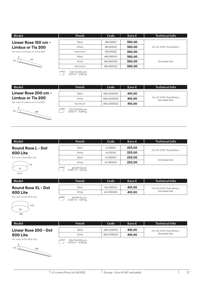| Model                         | <b>Finish</b> | Code       | Euro $\epsilon$ | <b>Technical Info</b>      |
|-------------------------------|---------------|------------|-----------------|----------------------------|
| Linear Rose 150 cm -          | <b>Black</b>  | ABL150D01  | 350,00          |                            |
| <b>Limbus or Tia 200</b>      | White         | ABL150D02  | 350,00          | On-off, 0-10V, Push Button |
| For max 4 Limbus or 4 Tia 200 | Aluminium     | ABL150D22  | 350,00          |                            |
| 8                             | Black         | ABL150DD01 | 350,00          |                            |
| 150<br>6,3                    | White         | ABL150DD02 | 350,00          | Dimmable Dali              |
|                               | Aluminium     | ABL150DD22 | 350,00          |                            |

7) 9,5×7,5×156 (cm)<br>0,011 m<sup>3</sup> - 3,45 Kg

| Model                         | <b>Finish</b> | Code        | ' Euro € i | <b>Technical Info</b>                        |
|-------------------------------|---------------|-------------|------------|----------------------------------------------|
| Linear Rose 200 cm -          | Black         | ABXL200DD01 | 410.00     |                                              |
| <b>Limbus or Tia 200</b>      | White         | ABXL200DD02 | 410.00     | On-off, 0-10V, Push Button,<br>Dimmable Dali |
| For max 8 Limbus or 8 Tia 200 | Aluminium     | ABXL200DD22 | 410,00     |                                              |
|                               |               |             |            |                                              |



9,5×7,5×206 (cm)<br>0,015 m<sup>3</sup> - 4,48 Kg

| Model                     | <b>Finish</b>                 | Code      | Euro $\epsilon$ | <b>Technical Info</b>      |
|---------------------------|-------------------------------|-----------|-----------------|----------------------------|
| <b>Round Rose L - Dot</b> | Black                         | AL133D01  | 233,00          |                            |
| 600 Lite                  | White                         | AL133D02  | 233,00          | On-off, 0-10V, Push Button |
| For max 1 Dot 600 Lite    | <b>Black</b>                  | AL133DD01 | 233,00          |                            |
| h <sub>6</sub>            | White                         | AL133DD02 | 233,00          | Dimmable Dali              |
| ⌒                         | $24 \times 24 \times 12$ (cm) |           |                 |                            |

| ø17,5 |  |
|-------|--|

| 24×24×12 (cm)                 |
|-------------------------------|
| $0.007 \text{ m}^3$ - 1.22 Kg |

| Model                      | <b>Finish</b>               | Code       | Euro $\epsilon$ | <b>Technical Info</b>                        |
|----------------------------|-----------------------------|------------|-----------------|----------------------------------------------|
|                            |                             |            |                 |                                              |
| <b>Round Rose XL - Dot</b> | Black                       | AXL133DD01 | 410,00          | On-off, 0-10V, Push Button,<br>Dimmable Dali |
| 600 Lite                   | White                       | AXL133DD02 | 410,00          |                                              |
| For max 4 Dot 600 Lite     | 24×24×12 (cm)<br>---- - --- |            |                 |                                              |



8 6,3

200

(cm) 24×24×12<br>0,007 m<sup>3</sup> - 1,94 Kg

| Model                  | <b>Finish</b>                                      | Code        | Euro $\epsilon$ | <b>Technical Info</b>                        |
|------------------------|----------------------------------------------------|-------------|-----------------|----------------------------------------------|
| Linear Rose 200 - Dot  | <b>Black</b>                                       | ABXL133DD01 | 410,00          | On-off, 0-10V, Push Button,<br>Dimmable Dali |
| 600 Lite               | White                                              | ABXL133DD02 | 410,00          |                                              |
| For max 4 Dot 600 Lite | 9,5×7,5×206 (cm)<br>0,015 m <sup>3</sup> - 4,48 Kg |             |                 |                                              |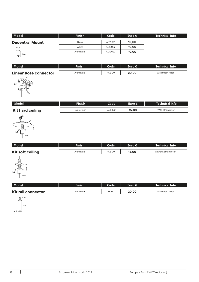| Model                  | <b>Finish</b> | Code    | $I$ Euro $\in I$ | <b>Technical Info</b>    |
|------------------------|---------------|---------|------------------|--------------------------|
| <b>Decentral Mount</b> | Black         | AC19001 | 10,00            |                          |
| ø2,5                   | White         | AC19002 | 10,00            | $\overline{\phantom{0}}$ |
| h 3,5                  | Aluminium     | AC19022 | 10,00            |                          |
| F — 1                  |               |         |                  |                          |

| Model                        | Finish    | Code   | Euro $\epsilon$ | <b>Technical Info</b> |
|------------------------------|-----------|--------|-----------------|-----------------------|
| <b>Linear Rose connector</b> | Aluminium | ACB190 | 20,00           | With strain relief    |
| 4,5<br>3,3<br>J,<br>le       |           |        |                 |                       |

| Model                   | Finish    | Code'              | Euro €' | 'Technical Info    |
|-------------------------|-----------|--------------------|---------|--------------------|
| <b>Kit hard ceiling</b> | Aluminium | ACH <sub>190</sub> | 15,00   | With strain relief |
|                         |           |                    |         |                    |



| Model            | Finish           | Code'  | Euro € | $\blacksquare$ Technical Info $\blacksquare$ |
|------------------|------------------|--------|--------|----------------------------------------------|
| Kit soft ceiling | <b>Aluminium</b> | ACS190 | 15,00  | Without strain relief                        |
|                  |                  |        |        |                                              |



| Modelˈ             | <b>Finish</b> | Code  | Euro € | <b>Technical Info</b> |
|--------------------|---------------|-------|--------|-----------------------|
| Kit rail connector | Aluminium     | AR190 | 20,00  | With strain relief    |

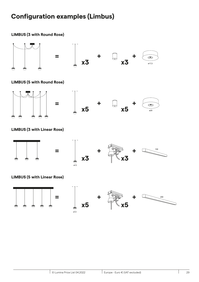## **Configuration examples (Limbus)**





#### **LIMBUS (5 with Round Rose)**



### **LIMBUS (3 with Linear Rose)**



#### **LIMBUS (5 with Linear Rose)**

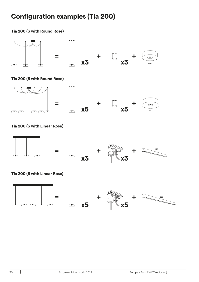## **Configuration examples (Tia 200)**

**Tia 200 (3 with Round Rose)**

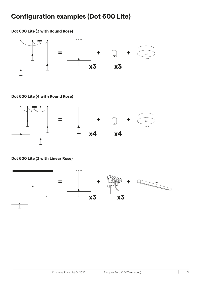## **Configuration examples (Dot 600 Lite)**

### **Dot 600 Lite (3 with Round Rose)**



### **Dot 600 Lite (4 with Round Rose)**



### **Dot 600 Lite (3 with Linear Rose)**

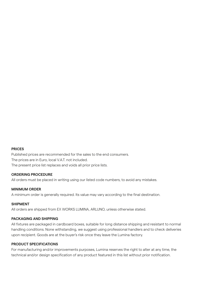#### **PRICES**

Published prices are recommended for the sales to the end consumers. The prices are in Euro, local V.A.T. not included. The present price list replaces and voids all prior price lists.

#### **ORDERING PROCEDURE**

All orders must be placed in writing using our listed code numbers, to avoid any mistakes.

#### **MINIMUM ORDER**

A minimum order is generally required. Its value may vary according to the final destination.

#### **SHIPMENT**

All orders are shipped from EX WORKS LUMINA, ARLUNO, unless otherwise stated.

#### **PACKAGING AND SHIPPING**

All fixtures are packaged in cardboard boxes, suitable for long distance shipping and resistant to normal handling conditions. None withstanding, we suggest using professional handlers and to check deliveries upon recipient. Goods are at the buyer's risk once they leave the Lumina factory.

#### **PRODUCT SPECIFICATIONS**

For manufacturing and/or improvements purposes, Lumina reserves the right to alter at any time, the technical and/or design specification of any product featured in this list without prior notification.